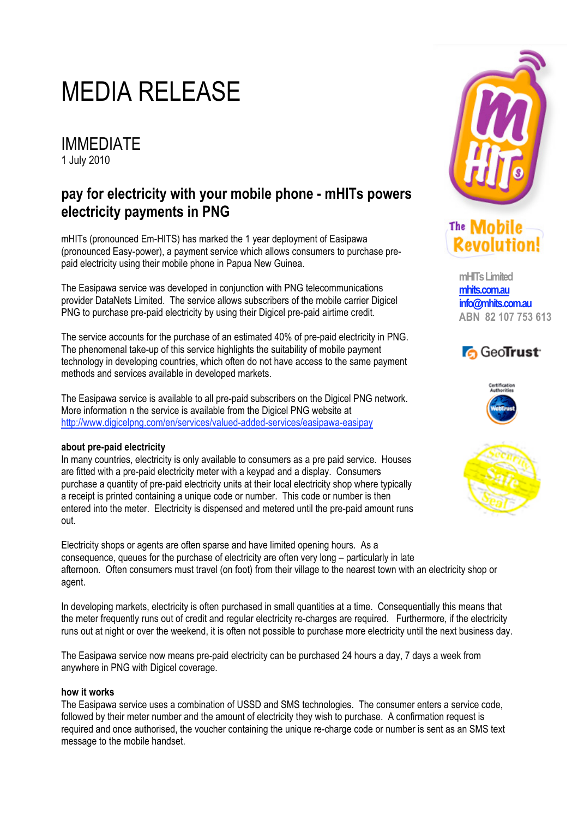# MEDIA RELEASE

IMMEDIATE 1 July 2010

## **pay for electricity with your mobile phone - mHITs powers electricity payments in PNG**

mHITs (pronounced Em-HITS) has marked the 1 year deployment of Easipawa (pronounced Easy-power), a payment service which allows consumers to purchase prepaid electricity using their mobile phone in Papua New Guinea.

The Easipawa service was developed in conjunction with PNG telecommunications provider DataNets Limited. The service allows subscribers of the mobile carrier Digicel PNG to purchase pre-paid electricity by using their Digicel pre-paid airtime credit.

The service accounts for the purchase of an estimated 40% of pre-paid electricity in PNG. The phenomenal take-up of this service highlights the suitability of mobile payment technology in developing countries, which often do not have access to the same payment methods and services available in developed markets.

The Easipawa service is available to all pre-paid subscribers on the Digicel PNG network. More information n the service is available from the Digicel PNG website at http://www.digicelpng.com/en/services/valued-added-services/easipawa-easipay

### **about pre-paid electricity**

In many countries, electricity is only available to consumers as a pre paid service. Houses are fitted with a pre-paid electricity meter with a keypad and a display. Consumers purchase a quantity of pre-paid electricity units at their local electricity shop where typically a receipt is printed containing a unique code or number. This code or number is then entered into the meter. Electricity is dispensed and metered until the pre-paid amount runs out.

Electricity shops or agents are often sparse and have limited opening hours. As a consequence, queues for the purchase of electricity are often very long – particularly in late afternoon. Often consumers must travel (on foot) from their village to the nearest town with an electricity shop or agent.

In developing markets, electricity is often purchased in small quantities at a time. Consequentially this means that the meter frequently runs out of credit and regular electricity re-charges are required. Furthermore, if the electricity runs out at night or over the weekend, it is often not possible to purchase more electricity until the next business day.

The Easipawa service now means pre-paid electricity can be purchased 24 hours a day, 7 days a week from anywhere in PNG with Digicel coverage.

### **how it works**

The Easipawa service uses a combination of USSD and SMS technologies. The consumer enters a service code, followed by their meter number and the amount of electricity they wish to purchase. A confirmation request is required and once authorised, the voucher containing the unique re-charge code or number is sent as an SMS text message to the mobile handset.



### The **Mobile** Revolution!

**mHITs Limited mhits.com.au info@mhits.com.au ABN 82 107 753 613**